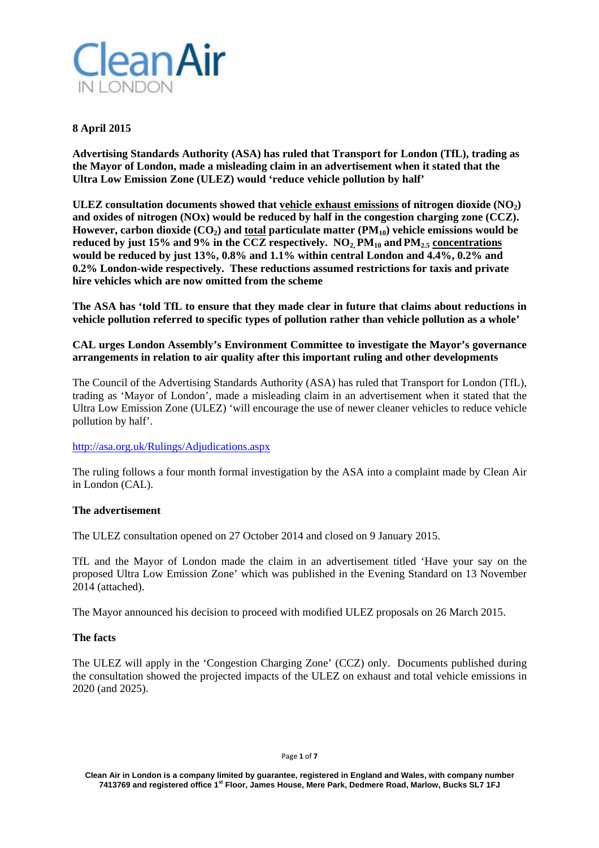

# **8 April 2015**

**Advertising Standards Authority (ASA) has ruled that Transport for London (TfL), trading as the Mayor of London, made a misleading claim in an advertisement when it stated that the Ultra Low Emission Zone (ULEZ) would 'reduce vehicle pollution by half'** 

**ULEZ consultation documents showed that vehicle exhaust emissions of nitrogen dioxide (NO2) and oxides of nitrogen (NOx) would be reduced by half in the congestion charging zone (CCZ).**  However, carbon dioxide (CO<sub>2</sub>) and total particulate matter (PM<sub>10</sub>) vehicle emissions would be reduced by just 15% and 9% in the CCZ respectively.  $NO_2$   $PM_{10}$  and  $PM_{2.5}$  concentrations **would be reduced by just 13%, 0.8% and 1.1% within central London and 4.4%, 0.2% and 0.2% London-wide respectively. These reductions assumed restrictions for taxis and private hire vehicles which are now omitted from the scheme** 

**The ASA has 'told TfL to ensure that they made clear in future that claims about reductions in vehicle pollution referred to specific types of pollution rather than vehicle pollution as a whole'** 

# **CAL urges London Assembly's Environment Committee to investigate the Mayor's governance arrangements in relation to air quality after this important ruling and other developments**

The Council of the Advertising Standards Authority (ASA) has ruled that Transport for London (TfL), trading as 'Mayor of London', made a misleading claim in an advertisement when it stated that the Ultra Low Emission Zone (ULEZ) 'will encourage the use of newer cleaner vehicles to reduce vehicle pollution by half'.

# http://asa.org.uk/Rulings/Adjudications.aspx

The ruling follows a four month formal investigation by the ASA into a complaint made by Clean Air in London (CAL).

### **The advertisement**

The ULEZ consultation opened on 27 October 2014 and closed on 9 January 2015.

TfL and the Mayor of London made the claim in an advertisement titled 'Have your say on the proposed Ultra Low Emission Zone' which was published in the Evening Standard on 13 November 2014 (attached).

The Mayor announced his decision to proceed with modified ULEZ proposals on 26 March 2015.

# **The facts**

The ULEZ will apply in the 'Congestion Charging Zone' (CCZ) only. Documents published during the consultation showed the projected impacts of the ULEZ on exhaust and total vehicle emissions in 2020 (and 2025).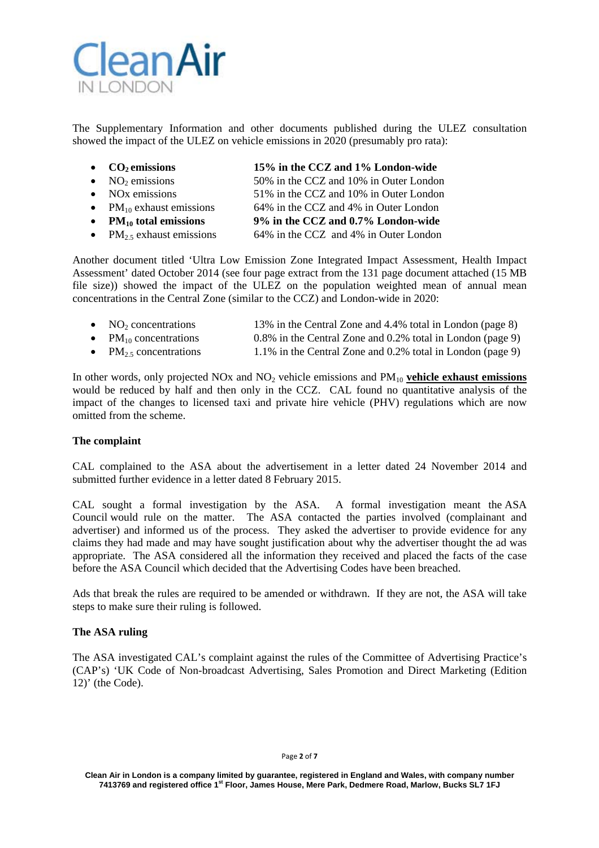

The Supplementary Information and other documents published during the ULEZ consultation showed the impact of the ULEZ on vehicle emissions in 2020 (presumably pro rata):

- 
- 
- 
- 
- 
- 
- CO<sub>2</sub> emissions 15% in the CCZ and 1% London-wide
- NO<sub>2</sub> emissions 50% in the CCZ and 10% in Outer London
- NOx emissions 51% in the CCZ and 10% in Outer London
- $PM_{10}$  exhaust emissions 64% in the CCZ and 4% in Outer London
- PM<sub>10</sub> total emissions 9% in the CCZ and 0.7% London-wide
- $PM_2$  exhaust emissions 64% in the CCZ and 4% in Outer London

Another document titled 'Ultra Low Emission Zone Integrated Impact Assessment, Health Impact Assessment' dated October 2014 (see four page extract from the 131 page document attached (15 MB file size)) showed the impact of the ULEZ on the population weighted mean of annual mean concentrations in the Central Zone (similar to the CCZ) and London-wide in 2020:

| $\bullet$ NO <sub>2</sub> concentrations | 13% in the Central Zone and 4.4% total in London (page 8)  |
|------------------------------------------|------------------------------------------------------------|
| • $PM_{10}$ concentrations               | 0.8% in the Central Zone and 0.2% total in London (page 9) |

•  $PM_{2.5}$  concentrations 1.1% in the Central Zone and 0.2% total in London (page 9)

In other words, only projected NOx and NO<sub>2</sub> vehicle emissions and PM<sub>10</sub> vehicle exhaust emissions would be reduced by half and then only in the CCZ. CAL found no quantitative analysis of the impact of the changes to licensed taxi and private hire vehicle (PHV) regulations which are now omitted from the scheme.

# **The complaint**

CAL complained to the ASA about the advertisement in a letter dated 24 November 2014 and submitted further evidence in a letter dated 8 February 2015.

CAL sought a formal investigation by the ASA. A formal investigation meant the ASA Council would rule on the matter. The ASA contacted the parties involved (complainant and advertiser) and informed us of the process. They asked the advertiser to provide evidence for any claims they had made and may have sought justification about why the advertiser thought the ad was appropriate. The ASA considered all the information they received and placed the facts of the case before the ASA Council which decided that the Advertising Codes have been breached.

Ads that break the rules are required to be amended or withdrawn. If they are not, the ASA will take steps to make sure their ruling is followed.

# **The ASA ruling**

The ASA investigated CAL's complaint against the rules of the Committee of Advertising Practice's (CAP's) 'UK Code of Non-broadcast Advertising, Sales Promotion and Direct Marketing (Edition 12)' (the Code).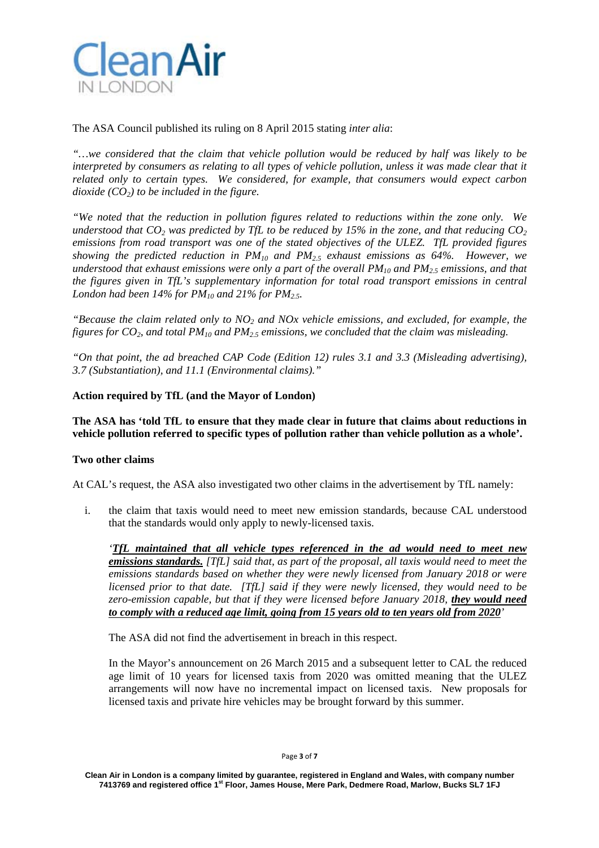

The ASA Council published its ruling on 8 April 2015 stating *inter alia*:

*"…we considered that the claim that vehicle pollution would be reduced by half was likely to be interpreted by consumers as relating to all types of vehicle pollution, unless it was made clear that it related only to certain types. We considered, for example, that consumers would expect carbon dioxide*  $(CO_2)$  *to be included in the figure.* 

*"We noted that the reduction in pollution figures related to reductions within the zone only. We understood that*  $CO_2$  *was predicted by TfL to be reduced by 15% in the zone, and that reducing*  $CO_2$ *emissions from road transport was one of the stated objectives of the ULEZ. TfL provided figures showing the predicted reduction in PM10 and PM2.5 exhaust emissions as 64%. However, we understood that exhaust emissions were only a part of the overall PM<sub>10</sub> and PM<sub>2.5</sub> emissions, and that the figures given in TfL's supplementary information for total road transport emissions in central London had been 14% for*  $PM_{10}$  *and 21% for*  $PM_{2.5}$ *.* 

*"Because the claim related only to NO2 and NOx vehicle emissions, and excluded, for example, the figures for*  $CO_2$ *, and total PM<sub>10</sub> and PM<sub>2.5</sub> emissions, we concluded that the claim was misleading.* 

*"On that point, the ad breached CAP Code (Edition 12) rules 3.1 and 3.3 (Misleading advertising), 3.7 (Substantiation), and 11.1 (Environmental claims)."* 

# **Action required by TfL (and the Mayor of London)**

# **The ASA has 'told TfL to ensure that they made clear in future that claims about reductions in vehicle pollution referred to specific types of pollution rather than vehicle pollution as a whole'.**

### **Two other claims**

At CAL's request, the ASA also investigated two other claims in the advertisement by TfL namely:

i. the claim that taxis would need to meet new emission standards, because CAL understood that the standards would only apply to newly-licensed taxis.

*'TfL maintained that all vehicle types referenced in the ad would need to meet new emissions standards. [TfL] said that, as part of the proposal, all taxis would need to meet the emissions standards based on whether they were newly licensed from January 2018 or were licensed prior to that date. [TfL] said if they were newly licensed, they would need to be*  zero-emission capable, but that if they were licensed before January 2018, **they would need** *to comply with a reduced age limit, going from 15 years old to ten years old from 2020'* 

The ASA did not find the advertisement in breach in this respect.

In the Mayor's announcement on 26 March 2015 and a subsequent letter to CAL the reduced age limit of 10 years for licensed taxis from 2020 was omitted meaning that the ULEZ arrangements will now have no incremental impact on licensed taxis. New proposals for licensed taxis and private hire vehicles may be brought forward by this summer.

**Clean Air in London is a company limited by guarantee, registered in England and Wales, with company number 7413769 and registered office 1st Floor, James House, Mere Park, Dedmere Road, Marlow, Bucks SL7 1FJ**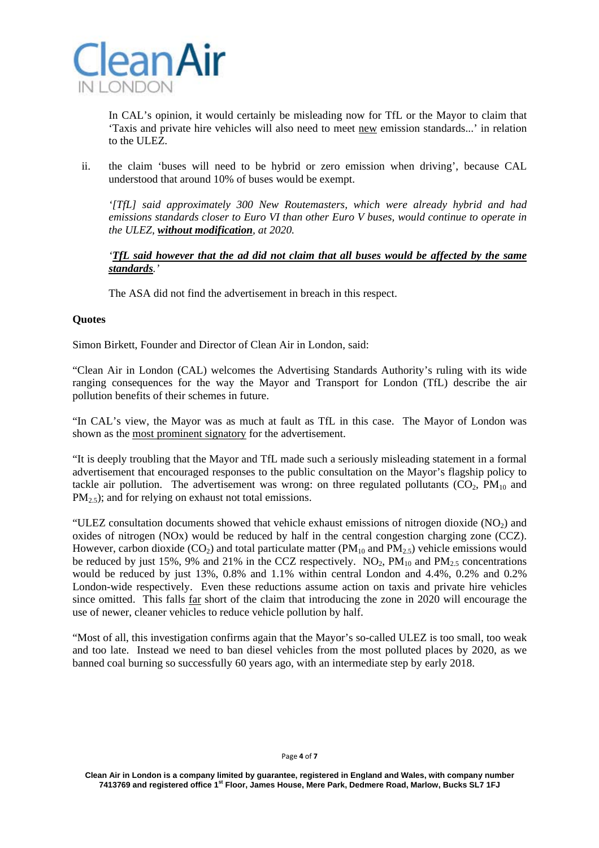

In CAL's opinion, it would certainly be misleading now for TfL or the Mayor to claim that 'Taxis and private hire vehicles will also need to meet new emission standards...' in relation to the ULEZ.

ii. the claim 'buses will need to be hybrid or zero emission when driving', because CAL understood that around 10% of buses would be exempt.

*'[TfL] said approximately 300 New Routemasters, which were already hybrid and had emissions standards closer to Euro VI than other Euro V buses, would continue to operate in the ULEZ, without modification, at 2020.* 

# *'TfL said however that the ad did not claim that all buses would be affected by the same standards.'*

The ASA did not find the advertisement in breach in this respect.

# **Quotes**

Simon Birkett, Founder and Director of Clean Air in London, said:

"Clean Air in London (CAL) welcomes the Advertising Standards Authority's ruling with its wide ranging consequences for the way the Mayor and Transport for London (TfL) describe the air pollution benefits of their schemes in future.

"In CAL's view, the Mayor was as much at fault as TfL in this case. The Mayor of London was shown as the most prominent signatory for the advertisement.

"It is deeply troubling that the Mayor and TfL made such a seriously misleading statement in a formal advertisement that encouraged responses to the public consultation on the Mayor's flagship policy to tackle air pollution. The advertisement was wrong: on three regulated pollutants  $(CO_2, PM_{10}$  and PM<sub>2.5</sub>); and for relying on exhaust not total emissions.

"ULEZ consultation documents showed that vehicle exhaust emissions of nitrogen dioxide  $(NO<sub>2</sub>)$  and oxides of nitrogen (NOx) would be reduced by half in the central congestion charging zone (CCZ). However, carbon dioxide (CO<sub>2</sub>) and total particulate matter (PM<sub>10</sub> and PM<sub>2.5</sub>) vehicle emissions would be reduced by just 15%, 9% and 21% in the CCZ respectively.  $NO_2$ ,  $PM_{10}$  and  $PM_{2.5}$  concentrations would be reduced by just 13%, 0.8% and 1.1% within central London and 4.4%, 0.2% and 0.2% London-wide respectively. Even these reductions assume action on taxis and private hire vehicles since omitted. This falls far short of the claim that introducing the zone in 2020 will encourage the use of newer, cleaner vehicles to reduce vehicle pollution by half.

"Most of all, this investigation confirms again that the Mayor's so-called ULEZ is too small, too weak and too late. Instead we need to ban diesel vehicles from the most polluted places by 2020, as we banned coal burning so successfully 60 years ago, with an intermediate step by early 2018.

#### Page **4** of **7**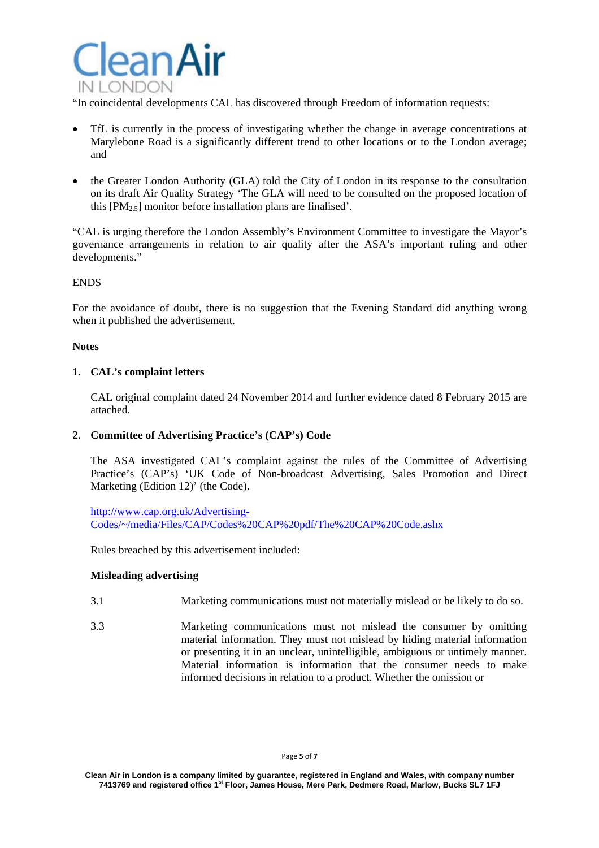

"In coincidental developments CAL has discovered through Freedom of information requests:

- TfL is currently in the process of investigating whether the change in average concentrations at Marylebone Road is a significantly different trend to other locations or to the London average; and
- the Greater London Authority (GLA) told the City of London in its response to the consultation on its draft Air Quality Strategy 'The GLA will need to be consulted on the proposed location of this  $[PM_{2.5}]$  monitor before installation plans are finalised'.

"CAL is urging therefore the London Assembly's Environment Committee to investigate the Mayor's governance arrangements in relation to air quality after the ASA's important ruling and other developments."

# ENDS

For the avoidance of doubt, there is no suggestion that the Evening Standard did anything wrong when it published the advertisement.

### **Notes**

### **1. CAL's complaint letters**

CAL original complaint dated 24 November 2014 and further evidence dated 8 February 2015 are attached.

# **2. Committee of Advertising Practice's (CAP's) Code**

The ASA investigated CAL's complaint against the rules of the Committee of Advertising Practice's (CAP's) 'UK Code of Non-broadcast Advertising, Sales Promotion and Direct Marketing (Edition 12)' (the Code).

http://www.cap.org.uk/Advertising-Codes/~/media/Files/CAP/Codes%20CAP%20pdf/The%20CAP%20Code.ashx

Rules breached by this advertisement included:

### **Misleading advertising**

- 3.1 Marketing communications must not materially mislead or be likely to do so.
- 3.3 Marketing communications must not mislead the consumer by omitting material information. They must not mislead by hiding material information or presenting it in an unclear, unintelligible, ambiguous or untimely manner. Material information is information that the consumer needs to make informed decisions in relation to a product. Whether the omission or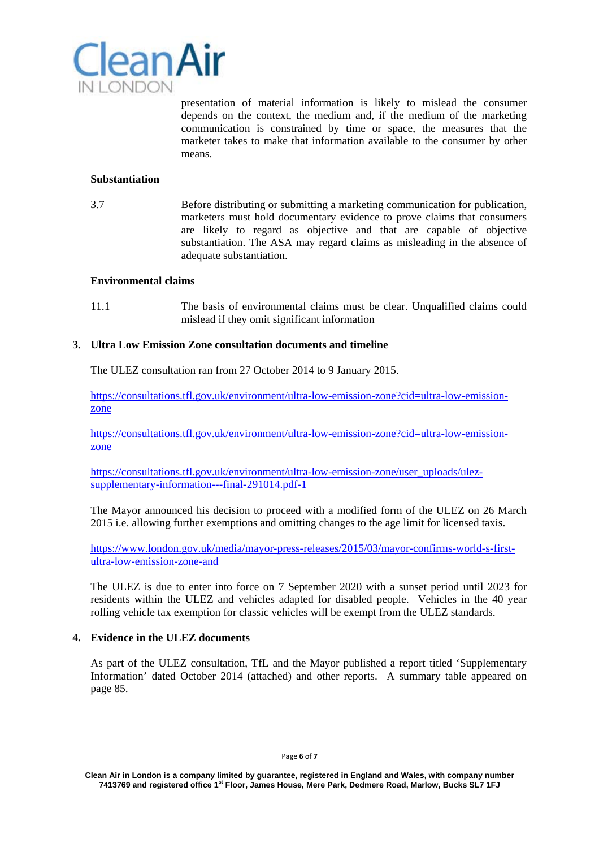

presentation of material information is likely to mislead the consumer depends on the context, the medium and, if the medium of the marketing communication is constrained by time or space, the measures that the marketer takes to make that information available to the consumer by other means.

### **Substantiation**

3.7 Before distributing or submitting a marketing communication for publication, marketers must hold documentary evidence to prove claims that consumers are likely to regard as objective and that are capable of objective substantiation. The ASA may regard claims as misleading in the absence of adequate substantiation.

# **Environmental claims**

11.1 The basis of environmental claims must be clear. Unqualified claims could mislead if they omit significant information

### **3. Ultra Low Emission Zone consultation documents and timeline**

The ULEZ consultation ran from 27 October 2014 to 9 January 2015.

https://consultations.tfl.gov.uk/environment/ultra-low-emission-zone?cid=ultra-low-emissionzone

https://consultations.tfl.gov.uk/environment/ultra-low-emission-zone?cid=ultra-low-emissionzone

https://consultations.tfl.gov.uk/environment/ultra-low-emission-zone/user\_uploads/ulezsupplementary-information---final-291014.pdf-1

The Mayor announced his decision to proceed with a modified form of the ULEZ on 26 March 2015 i.e. allowing further exemptions and omitting changes to the age limit for licensed taxis.

https://www.london.gov.uk/media/mayor-press-releases/2015/03/mayor-confirms-world-s-firstultra-low-emission-zone-and

The ULEZ is due to enter into force on 7 September 2020 with a sunset period until 2023 for residents within the ULEZ and vehicles adapted for disabled people. Vehicles in the 40 year rolling vehicle tax exemption for classic vehicles will be exempt from the ULEZ standards.

### **4. Evidence in the ULEZ documents**

As part of the ULEZ consultation, TfL and the Mayor published a report titled 'Supplementary Information' dated October 2014 (attached) and other reports. A summary table appeared on page 85.

**Clean Air in London is a company limited by guarantee, registered in England and Wales, with company number 7413769 and registered office 1st Floor, James House, Mere Park, Dedmere Road, Marlow, Bucks SL7 1FJ**